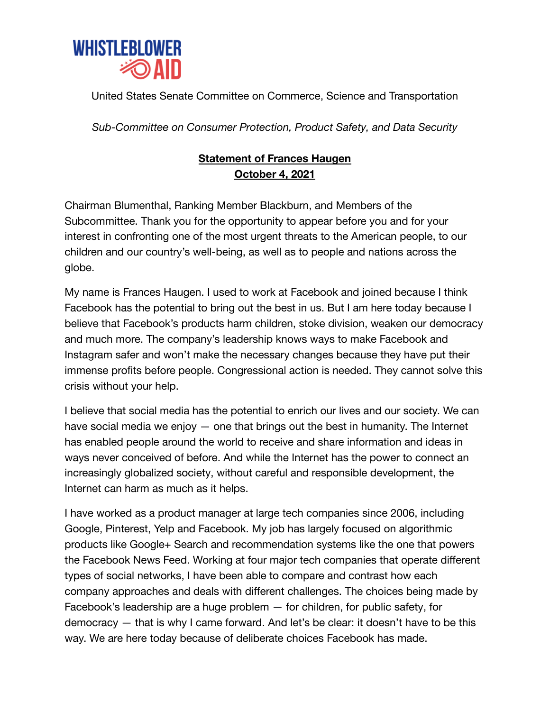

United States Senate Committee on Commerce, Science and Transportation

*Sub-Committee on Consumer Protection, Product Safety, and Data Security*

## **Statement of Frances Haugen October 4, 2021**

Chairman Blumenthal, Ranking Member Blackburn, and Members of the Subcommittee. Thank you for the opportunity to appear before you and for your interest in confronting one of the most urgent threats to the American people, to our children and our country's well-being, as well as to people and nations across the globe.

My name is Frances Haugen. I used to work at Facebook and joined because I think Facebook has the potential to bring out the best in us. But I am here today because I believe that Facebook's products harm children, stoke division, weaken our democracy and much more. The company's leadership knows ways to make Facebook and Instagram safer and won't make the necessary changes because they have put their immense profits before people. Congressional action is needed. They cannot solve this crisis without your help.

I believe that social media has the potential to enrich our lives and our society. We can have social media we enjoy — one that brings out the best in humanity. The Internet has enabled people around the world to receive and share information and ideas in ways never conceived of before. And while the Internet has the power to connect an increasingly globalized society, without careful and responsible development, the Internet can harm as much as it helps.

I have worked as a product manager at large tech companies since 2006, including Google, Pinterest, Yelp and Facebook. My job has largely focused on algorithmic products like Google+ Search and recommendation systems like the one that powers the Facebook News Feed. Working at four major tech companies that operate different types of social networks, I have been able to compare and contrast how each company approaches and deals with different challenges. The choices being made by Facebook's leadership are a huge problem — for children, for public safety, for democracy — that is why I came forward. And let's be clear: it doesn't have to be this way. We are here today because of deliberate choices Facebook has made.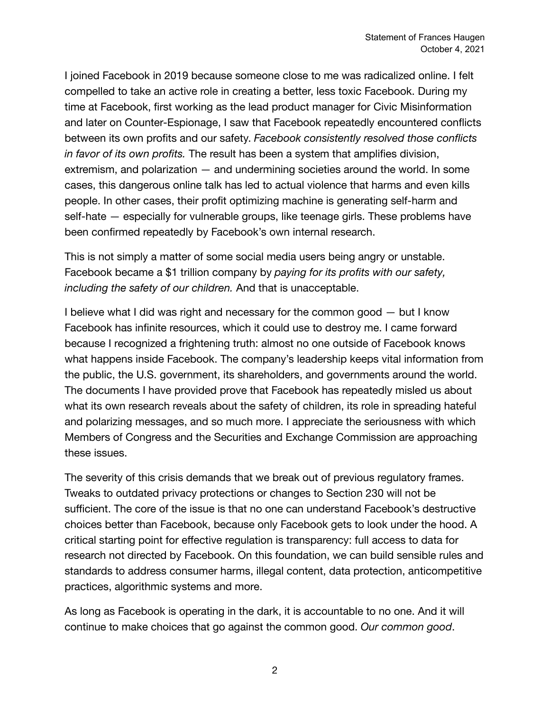I joined Facebook in 2019 because someone close to me was radicalized online. I felt compelled to take an active role in creating a better, less toxic Facebook. During my time at Facebook, first working as the lead product manager for Civic Misinformation and later on Counter-Espionage, I saw that Facebook repeatedly encountered conflicts between its own profits and our safety. *Facebook consistently resolved those conflicts in favor of its own profits.* The result has been a system that amplifies division, extremism, and polarization — and undermining societies around the world. In some cases, this dangerous online talk has led to actual violence that harms and even kills people. In other cases, their profit optimizing machine is generating self-harm and self-hate — especially for vulnerable groups, like teenage girls. These problems have been confirmed repeatedly by Facebook's own internal research.

This is not simply a matter of some social media users being angry or unstable. Facebook became a \$1 trillion company by *paying for its profits with our safety, including the safety of our children.* And that is unacceptable.

I believe what I did was right and necessary for the common good — but I know Facebook has infinite resources, which it could use to destroy me. I came forward because I recognized a frightening truth: almost no one outside of Facebook knows what happens inside Facebook. The company's leadership keeps vital information from the public, the U.S. government, its shareholders, and governments around the world. The documents I have provided prove that Facebook has repeatedly misled us about what its own research reveals about the safety of children, its role in spreading hateful and polarizing messages, and so much more. I appreciate the seriousness with which Members of Congress and the Securities and Exchange Commission are approaching these issues.

The severity of this crisis demands that we break out of previous regulatory frames. Tweaks to outdated privacy protections or changes to Section 230 will not be sufficient. The core of the issue is that no one can understand Facebook's destructive choices better than Facebook, because only Facebook gets to look under the hood. A critical starting point for effective regulation is transparency: full access to data for research not directed by Facebook. On this foundation, we can build sensible rules and standards to address consumer harms, illegal content, data protection, anticompetitive practices, algorithmic systems and more.

As long as Facebook is operating in the dark, it is accountable to no one. And it will continue to make choices that go against the common good. *Our common good*.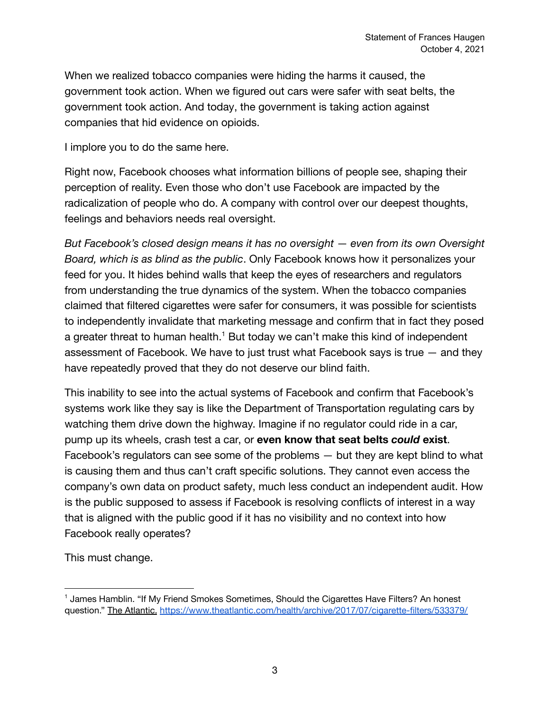When we realized tobacco companies were hiding the harms it caused, the government took action. When we figured out cars were safer with seat belts, the government took action. And today, the government is taking action against companies that hid evidence on opioids.

I implore you to do the same here.

Right now, Facebook chooses what information billions of people see, shaping their perception of reality. Even those who don't use Facebook are impacted by the radicalization of people who do. A company with control over our deepest thoughts, feelings and behaviors needs real oversight.

*But Facebook's closed design means it has no oversight* — *even from its own Oversight Board, which is as blind as the public*. Only Facebook knows how it personalizes your feed for you. It hides behind walls that keep the eyes of researchers and regulators from understanding the true dynamics of the system. When the tobacco companies claimed that filtered cigarettes were safer for consumers, it was possible for scientists to independently invalidate that marketing message and confirm that in fact they posed a greater threat to human health.<sup>1</sup> But today we can't make this kind of independent assessment of Facebook. We have to just trust what Facebook says is true — and they have repeatedly proved that they do not deserve our blind faith.

This inability to see into the actual systems of Facebook and confirm that Facebook's systems work like they say is like the Department of Transportation regulating cars by watching them drive down the highway. Imagine if no regulator could ride in a car, pump up its wheels, crash test a car, or **even know that seat belts** *could* **exist**. Facebook's regulators can see some of the problems — but they are kept blind to what is causing them and thus can't craft specific solutions. They cannot even access the company's own data on product safety, much less conduct an independent audit. How is the public supposed to assess if Facebook is resolving conflicts of interest in a way that is aligned with the public good if it has no visibility and no context into how Facebook really operates?

This must change.

<sup>&</sup>lt;sup>1</sup> James Hamblin. "If My Friend Smokes Sometimes, Should the Cigarettes Have Filters? An honest question." The Atlantic. <https://www.theatlantic.com/health/archive/2017/07/cigarette-filters/533379/>